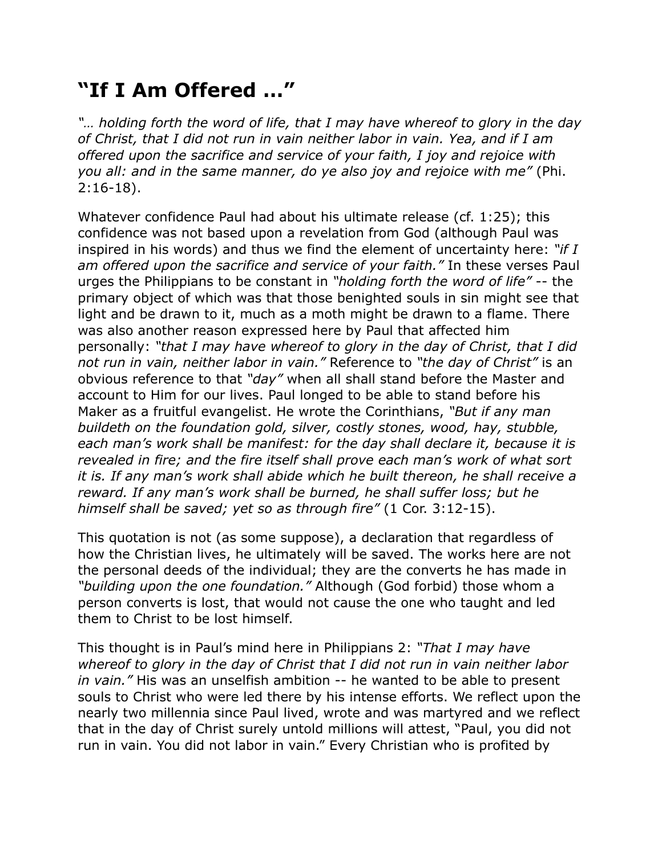## **"If I Am Offered …"**

*"… holding forth the word of life, that I may have whereof to glory in the day of Christ, that I did not run in vain neither labor in vain. Yea, and if I am offered upon the sacrifice and service of your faith, I joy and rejoice with you all: and in the same manner, do ye also joy and rejoice with me"* (Phi. 2:16-18).

Whatever confidence Paul had about his ultimate release (cf. 1:25); this confidence was not based upon a revelation from God (although Paul was inspired in his words) and thus we find the element of uncertainty here: *"if I am offered upon the sacrifice and service of your faith."* In these verses Paul urges the Philippians to be constant in *"holding forth the word of life"* -- the primary object of which was that those benighted souls in sin might see that light and be drawn to it, much as a moth might be drawn to a flame. There was also another reason expressed here by Paul that affected him personally: *"that I may have whereof to glory in the day of Christ, that I did not run in vain, neither labor in vain."* Reference to *"the day of Christ"* is an obvious reference to that *"day"* when all shall stand before the Master and account to Him for our lives. Paul longed to be able to stand before his Maker as a fruitful evangelist. He wrote the Corinthians, *"But if any man buildeth on the foundation gold, silver, costly stones, wood, hay, stubble, each man's work shall be manifest: for the day shall declare it, because it is revealed in fire; and the fire itself shall prove each man's work of what sort it is. If any man's work shall abide which he built thereon, he shall receive a reward. If any man's work shall be burned, he shall suffer loss; but he himself shall be saved; yet so as through fire"* (1 Cor. 3:12-15).

This quotation is not (as some suppose), a declaration that regardless of how the Christian lives, he ultimately will be saved. The works here are not the personal deeds of the individual; they are the converts he has made in *"building upon the one foundation."* Although (God forbid) those whom a person converts is lost, that would not cause the one who taught and led them to Christ to be lost himself.

This thought is in Paul's mind here in Philippians 2: *"That I may have whereof to glory in the day of Christ that I did not run in vain neither labor in vain."* His was an unselfish ambition -- he wanted to be able to present souls to Christ who were led there by his intense efforts. We reflect upon the nearly two millennia since Paul lived, wrote and was martyred and we reflect that in the day of Christ surely untold millions will attest, "Paul, you did not run in vain. You did not labor in vain." Every Christian who is profited by